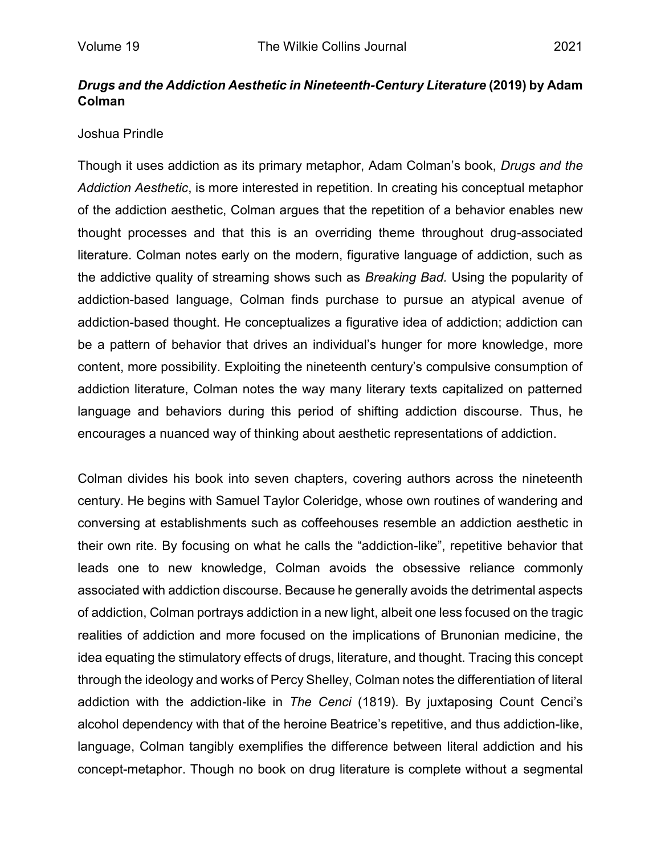## *Drugs and the Addiction Aesthetic in Nineteenth-Century Literature* **(2019) by Adam Colman**

## Joshua Prindle

Though it uses addiction as its primary metaphor, Adam Colman's book, *Drugs and the Addiction Aesthetic*, is more interested in repetition. In creating his conceptual metaphor of the addiction aesthetic, Colman argues that the repetition of a behavior enables new thought processes and that this is an overriding theme throughout drug-associated literature. Colman notes early on the modern, figurative language of addiction, such as the addictive quality of streaming shows such as *Breaking Bad.* Using the popularity of addiction-based language, Colman finds purchase to pursue an atypical avenue of addiction-based thought. He conceptualizes a figurative idea of addiction; addiction can be a pattern of behavior that drives an individual's hunger for more knowledge, more content, more possibility. Exploiting the nineteenth century's compulsive consumption of addiction literature, Colman notes the way many literary texts capitalized on patterned language and behaviors during this period of shifting addiction discourse. Thus, he encourages a nuanced way of thinking about aesthetic representations of addiction.

Colman divides his book into seven chapters, covering authors across the nineteenth century. He begins with Samuel Taylor Coleridge, whose own routines of wandering and conversing at establishments such as coffeehouses resemble an addiction aesthetic in their own rite. By focusing on what he calls the "addiction-like", repetitive behavior that leads one to new knowledge, Colman avoids the obsessive reliance commonly associated with addiction discourse. Because he generally avoids the detrimental aspects of addiction, Colman portrays addiction in a new light, albeit one less focused on the tragic realities of addiction and more focused on the implications of Brunonian medicine, the idea equating the stimulatory effects of drugs, literature, and thought. Tracing this concept through the ideology and works of Percy Shelley, Colman notes the differentiation of literal addiction with the addiction-like in *The Cenci* (1819)*.* By juxtaposing Count Cenci's alcohol dependency with that of the heroine Beatrice's repetitive, and thus addiction-like, language, Colman tangibly exemplifies the difference between literal addiction and his concept-metaphor. Though no book on drug literature is complete without a segmental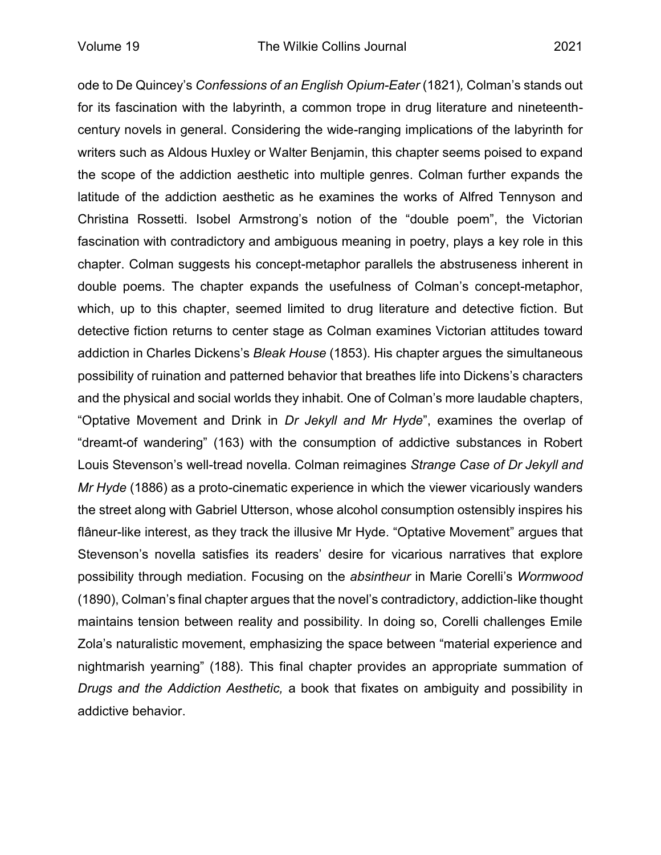ode to De Quincey's *Confessions of an English Opium-Eater* (1821)*,* Colman's stands out for its fascination with the labyrinth, a common trope in drug literature and nineteenthcentury novels in general. Considering the wide-ranging implications of the labyrinth for writers such as Aldous Huxley or Walter Benjamin, this chapter seems poised to expand the scope of the addiction aesthetic into multiple genres. Colman further expands the latitude of the addiction aesthetic as he examines the works of Alfred Tennyson and Christina Rossetti. Isobel Armstrong's notion of the "double poem", the Victorian fascination with contradictory and ambiguous meaning in poetry, plays a key role in this chapter. Colman suggests his concept-metaphor parallels the abstruseness inherent in double poems. The chapter expands the usefulness of Colman's concept-metaphor, which, up to this chapter, seemed limited to drug literature and detective fiction. But detective fiction returns to center stage as Colman examines Victorian attitudes toward addiction in Charles Dickens's *Bleak House* (1853). His chapter argues the simultaneous possibility of ruination and patterned behavior that breathes life into Dickens's characters and the physical and social worlds they inhabit. One of Colman's more laudable chapters, "Optative Movement and Drink in *Dr Jekyll and Mr Hyde*", examines the overlap of "dreamt-of wandering" (163) with the consumption of addictive substances in Robert Louis Stevenson's well-tread novella. Colman reimagines *Strange Case of Dr Jekyll and Mr Hyde* (1886) as a proto-cinematic experience in which the viewer vicariously wanders the street along with Gabriel Utterson, whose alcohol consumption ostensibly inspires his flâneur-like interest, as they track the illusive Mr Hyde. "Optative Movement" argues that Stevenson's novella satisfies its readers' desire for vicarious narratives that explore possibility through mediation. Focusing on the *absintheur* in Marie Corelli's *Wormwood* (1890), Colman's final chapter argues that the novel's contradictory, addiction-like thought maintains tension between reality and possibility. In doing so, Corelli challenges Emile Zola's naturalistic movement, emphasizing the space between "material experience and nightmarish yearning" (188). This final chapter provides an appropriate summation of *Drugs and the Addiction Aesthetic,* a book that fixates on ambiguity and possibility in addictive behavior.